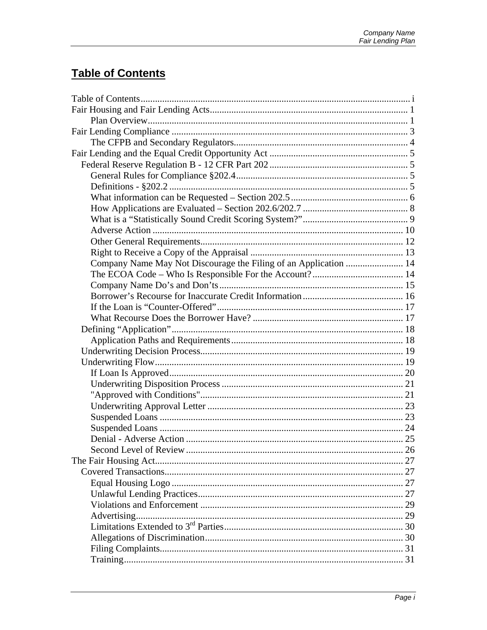# **Table of Contents**

| Company Name May Not Discourage the Filing of an Application  14 |  |
|------------------------------------------------------------------|--|
|                                                                  |  |
|                                                                  |  |
|                                                                  |  |
|                                                                  |  |
|                                                                  |  |
|                                                                  |  |
|                                                                  |  |
|                                                                  |  |
|                                                                  |  |
|                                                                  |  |
|                                                                  |  |
|                                                                  |  |
|                                                                  |  |
|                                                                  |  |
|                                                                  |  |
|                                                                  |  |
|                                                                  |  |
|                                                                  |  |
|                                                                  |  |
|                                                                  |  |
|                                                                  |  |
|                                                                  |  |
|                                                                  |  |
|                                                                  |  |
|                                                                  |  |
|                                                                  |  |
|                                                                  |  |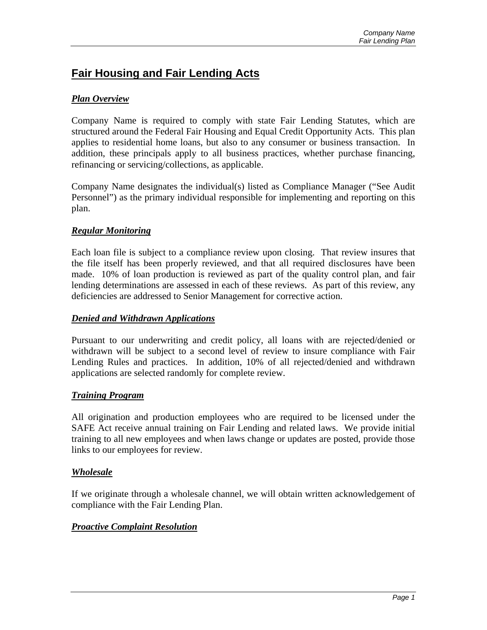## **Fair Housing and Fair Lending Acts**

#### *Plan Overview*

Company Name is required to comply with state Fair Lending Statutes, which are structured around the Federal Fair Housing and Equal Credit Opportunity Acts. This plan applies to residential home loans, but also to any consumer or business transaction. In addition, these principals apply to all business practices, whether purchase financing, refinancing or servicing/collections, as applicable.

Company Name designates the individual(s) listed as Compliance Manager ("See Audit Personnel") as the primary individual responsible for implementing and reporting on this plan.

#### *Regular Monitoring*

Each loan file is subject to a compliance review upon closing. That review insures that the file itself has been properly reviewed, and that all required disclosures have been made. 10% of loan production is reviewed as part of the quality control plan, and fair lending determinations are assessed in each of these reviews. As part of this review, any deficiencies are addressed to Senior Management for corrective action.

#### *Denied and Withdrawn Applications*

Pursuant to our underwriting and credit policy, all loans with are rejected/denied or withdrawn will be subject to a second level of review to insure compliance with Fair Lending Rules and practices. In addition, 10% of all rejected/denied and withdrawn applications are selected randomly for complete review.

#### *Training Program*

All origination and production employees who are required to be licensed under the SAFE Act receive annual training on Fair Lending and related laws. We provide initial training to all new employees and when laws change or updates are posted, provide those links to our employees for review.

#### *Wholesale*

If we originate through a wholesale channel, we will obtain written acknowledgement of compliance with the Fair Lending Plan.

#### *Proactive Complaint Resolution*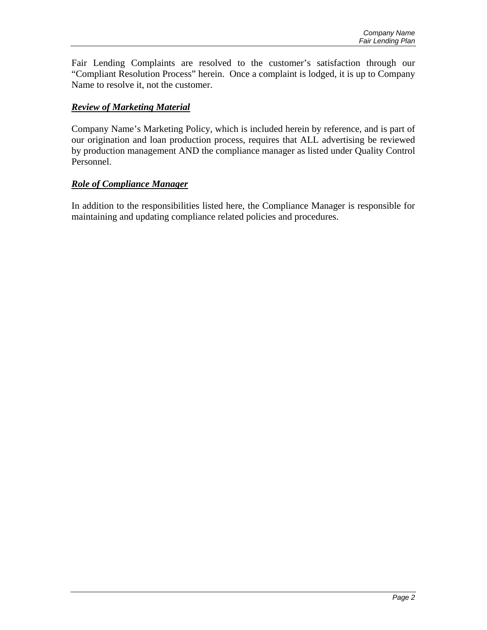Fair Lending Complaints are resolved to the customer's satisfaction through our "Compliant Resolution Process" herein. Once a complaint is lodged, it is up to Company Name to resolve it, not the customer.

#### *Review of Marketing Material*

Company Name's Marketing Policy, which is included herein by reference, and is part of our origination and loan production process, requires that ALL advertising be reviewed by production management AND the compliance manager as listed under Quality Control Personnel.

#### *Role of Compliance Manager*

In addition to the responsibilities listed here, the Compliance Manager is responsible for maintaining and updating compliance related policies and procedures.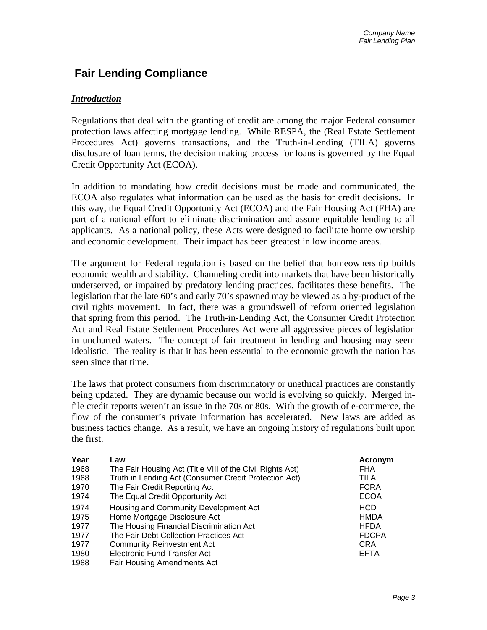## **Fair Lending Compliance**

#### *Introduction*

Regulations that deal with the granting of credit are among the major Federal consumer protection laws affecting mortgage lending. While RESPA, the (Real Estate Settlement Procedures Act) governs transactions, and the Truth-in-Lending (TILA) governs disclosure of loan terms, the decision making process for loans is governed by the Equal Credit Opportunity Act (ECOA).

In addition to mandating how credit decisions must be made and communicated, the ECOA also regulates what information can be used as the basis for credit decisions. In this way, the Equal Credit Opportunity Act (ECOA) and the Fair Housing Act (FHA) are part of a national effort to eliminate discrimination and assure equitable lending to all applicants. As a national policy, these Acts were designed to facilitate home ownership and economic development. Their impact has been greatest in low income areas.

The argument for Federal regulation is based on the belief that homeownership builds economic wealth and stability. Channeling credit into markets that have been historically underserved, or impaired by predatory lending practices, facilitates these benefits. The legislation that the late 60's and early 70's spawned may be viewed as a by-product of the civil rights movement. In fact, there was a groundswell of reform oriented legislation that spring from this period. The Truth-in-Lending Act, the Consumer Credit Protection Act and Real Estate Settlement Procedures Act were all aggressive pieces of legislation in uncharted waters. The concept of fair treatment in lending and housing may seem idealistic. The reality is that it has been essential to the economic growth the nation has seen since that time.

The laws that protect consumers from discriminatory or unethical practices are constantly being updated. They are dynamic because our world is evolving so quickly. Merged infile credit reports weren't an issue in the 70s or 80s. With the growth of e-commerce, the flow of the consumer's private information has accelerated. New laws are added as business tactics change. As a result, we have an ongoing history of regulations built upon the first.

| Year                                                 | Law                                                                                                                                                                                                                                                                           | Acronym                                                                               |
|------------------------------------------------------|-------------------------------------------------------------------------------------------------------------------------------------------------------------------------------------------------------------------------------------------------------------------------------|---------------------------------------------------------------------------------------|
| 1968                                                 | The Fair Housing Act (Title VIII of the Civil Rights Act)                                                                                                                                                                                                                     | FHA                                                                                   |
| 1968                                                 | Truth in Lending Act (Consumer Credit Protection Act)                                                                                                                                                                                                                         | TILA                                                                                  |
| 1970                                                 | The Fair Credit Reporting Act                                                                                                                                                                                                                                                 | <b>FCRA</b>                                                                           |
| 1974                                                 | The Equal Credit Opportunity Act                                                                                                                                                                                                                                              | <b>ECOA</b>                                                                           |
| 1974<br>1975<br>1977<br>1977<br>1977<br>1980<br>1988 | Housing and Community Development Act<br>Home Mortgage Disclosure Act<br>The Housing Financial Discrimination Act<br>The Fair Debt Collection Practices Act<br><b>Community Reinvestment Act</b><br><b>Electronic Fund Transfer Act</b><br><b>Fair Housing Amendments Act</b> | <b>HCD</b><br><b>HMDA</b><br><b>HFDA</b><br><b>FDCPA</b><br><b>CRA</b><br><b>EFTA</b> |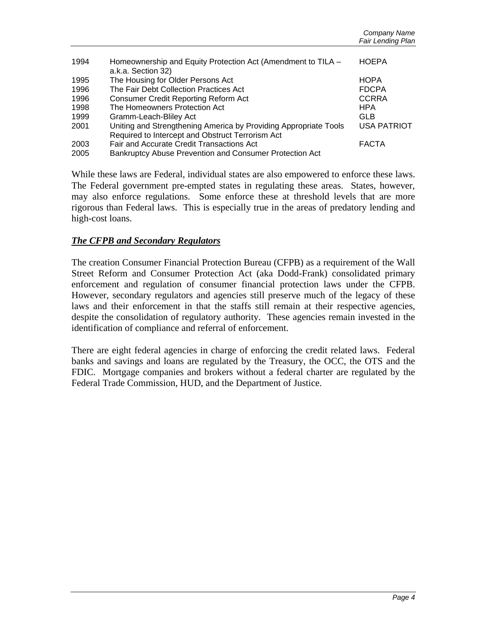| 1994 | Homeownership and Equity Protection Act (Amendment to TILA -<br>a.k.a. Section 32) | <b>HOEPA</b>       |
|------|------------------------------------------------------------------------------------|--------------------|
| 1995 | The Housing for Older Persons Act                                                  | <b>HOPA</b>        |
| 1996 | The Fair Debt Collection Practices Act                                             | <b>FDCPA</b>       |
| 1996 | <b>Consumer Credit Reporting Reform Act</b>                                        | <b>CCRRA</b>       |
| 1998 | The Homeowners Protection Act                                                      | <b>HPA</b>         |
| 1999 | Gramm-Leach-Bliley Act                                                             | GLB                |
| 2001 | Uniting and Strengthening America by Providing Appropriate Tools                   | <b>USA PATRIOT</b> |
|      | Required to Intercept and Obstruct Terrorism Act                                   |                    |
| 2003 | Fair and Accurate Credit Transactions Act                                          | <b>FACTA</b>       |
| 2005 | Bankruptcy Abuse Prevention and Consumer Protection Act                            |                    |

While these laws are Federal, individual states are also empowered to enforce these laws. The Federal government pre-empted states in regulating these areas. States, however, may also enforce regulations. Some enforce these at threshold levels that are more rigorous than Federal laws. This is especially true in the areas of predatory lending and high-cost loans.

#### *The CFPB and Secondary Regulators*

The creation Consumer Financial Protection Bureau (CFPB) as a requirement of the Wall Street Reform and Consumer Protection Act (aka Dodd-Frank) consolidated primary enforcement and regulation of consumer financial protection laws under the CFPB. However, secondary regulators and agencies still preserve much of the legacy of these laws and their enforcement in that the staffs still remain at their respective agencies, despite the consolidation of regulatory authority. These agencies remain invested in the identification of compliance and referral of enforcement.

There are eight federal agencies in charge of enforcing the credit related laws. Federal banks and savings and loans are regulated by the Treasury, the OCC, the OTS and the FDIC. Mortgage companies and brokers without a federal charter are regulated by the Federal Trade Commission, HUD, and the Department of Justice.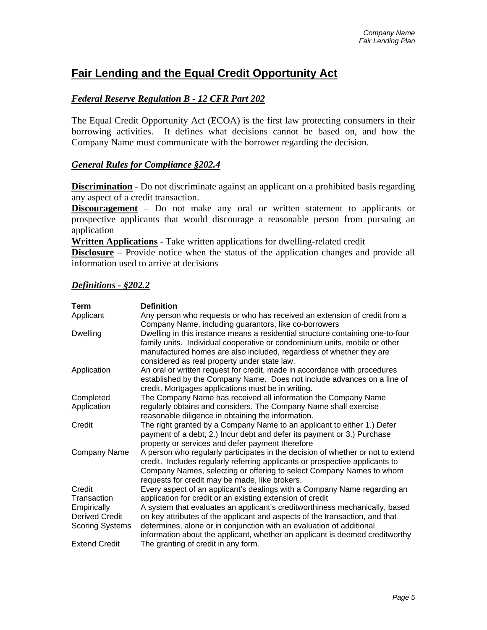## **Fair Lending and the Equal Credit Opportunity Act**

#### *Federal Reserve Regulation B - 12 CFR Part 202*

The Equal Credit Opportunity Act (ECOA) is the first law protecting consumers in their borrowing activities. It defines what decisions cannot be based on, and how the Company Name must communicate with the borrower regarding the decision.

#### *General Rules for Compliance §202.4*

**Discrimination** - Do not discriminate against an applicant on a prohibited basis regarding any aspect of a credit transaction.

**Discouragement** – Do not make any oral or written statement to applicants or prospective applicants that would discourage a reasonable person from pursuing an application

**Written Applications** - Take written applications for dwelling-related credit

**Disclosure** – Provide notice when the status of the application changes and provide all information used to arrive at decisions

#### *Definitions - §202.2*

| Term                   | <b>Definition</b>                                                                                                                                                                                                                                                                         |
|------------------------|-------------------------------------------------------------------------------------------------------------------------------------------------------------------------------------------------------------------------------------------------------------------------------------------|
| Applicant              | Any person who requests or who has received an extension of credit from a<br>Company Name, including guarantors, like co-borrowers                                                                                                                                                        |
| <b>Dwelling</b>        | Dwelling in this instance means a residential structure containing one-to-four<br>family units. Individual cooperative or condominium units, mobile or other<br>manufactured homes are also included, regardless of whether they are<br>considered as real property under state law.      |
| Application            | An oral or written request for credit, made in accordance with procedures<br>established by the Company Name. Does not include advances on a line of<br>credit. Mortgages applications must be in writing.                                                                                |
| Completed              | The Company Name has received all information the Company Name                                                                                                                                                                                                                            |
| Application            | regularly obtains and considers. The Company Name shall exercise<br>reasonable diligence in obtaining the information.                                                                                                                                                                    |
| Credit                 | The right granted by a Company Name to an applicant to either 1.) Defer<br>payment of a debt, 2.) Incur debt and defer its payment or 3.) Purchase<br>property or services and defer payment therefore                                                                                    |
| Company Name           | A person who regularly participates in the decision of whether or not to extend<br>credit. Includes regularly referring applicants or prospective applicants to<br>Company Names, selecting or offering to select Company Names to whom<br>requests for credit may be made, like brokers. |
| Credit                 | Every aspect of an applicant's dealings with a Company Name regarding an                                                                                                                                                                                                                  |
| Transaction            | application for credit or an existing extension of credit                                                                                                                                                                                                                                 |
| Empirically            | A system that evaluates an applicant's creditworthiness mechanically, based                                                                                                                                                                                                               |
| <b>Derived Credit</b>  | on key attributes of the applicant and aspects of the transaction, and that                                                                                                                                                                                                               |
| <b>Scoring Systems</b> | determines, alone or in conjunction with an evaluation of additional<br>information about the applicant, whether an applicant is deemed creditworthy                                                                                                                                      |
| <b>Extend Credit</b>   | The granting of credit in any form.                                                                                                                                                                                                                                                       |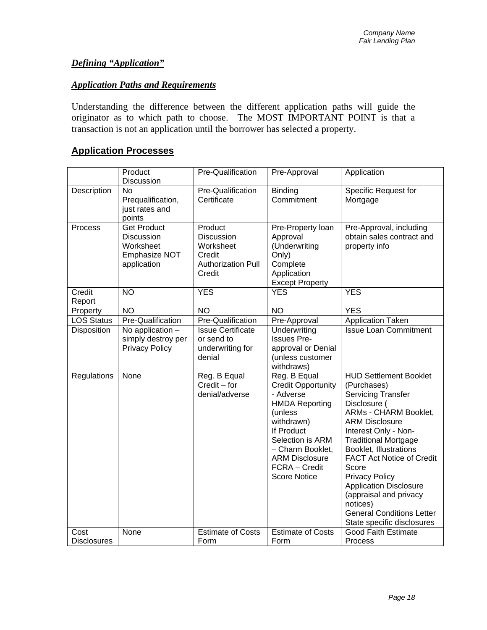### *Defining "Application"*

#### *Application Paths and Requirements*

Understanding the difference between the different application paths will guide the originator as to which path to choose. The MOST IMPORTANT POINT is that a transaction is not an application until the borrower has selected a property.

### **Application Processes**

|                            | Product<br>Discussion                                                                | <b>Pre-Qualification</b>                                                                   | Pre-Approval                                                                                                                                                                                                                    | Application                                                                                                                                                                                                                                                                                                                                                                                                                                               |
|----------------------------|--------------------------------------------------------------------------------------|--------------------------------------------------------------------------------------------|---------------------------------------------------------------------------------------------------------------------------------------------------------------------------------------------------------------------------------|-----------------------------------------------------------------------------------------------------------------------------------------------------------------------------------------------------------------------------------------------------------------------------------------------------------------------------------------------------------------------------------------------------------------------------------------------------------|
| <b>Description</b>         | <b>No</b><br>Prequalification,<br>just rates and<br>points                           | Pre-Qualification<br>Certificate                                                           | <b>Binding</b><br>Commitment                                                                                                                                                                                                    | <b>Specific Request for</b><br>Mortgage                                                                                                                                                                                                                                                                                                                                                                                                                   |
| Process                    | <b>Get Product</b><br><b>Discussion</b><br>Worksheet<br>Emphasize NOT<br>application | Product<br><b>Discussion</b><br>Worksheet<br>Credit<br><b>Authorization Pull</b><br>Credit | Pre-Property loan<br>Approval<br>(Underwriting<br>Only)<br>Complete<br>Application<br><b>Except Property</b>                                                                                                                    | Pre-Approval, including<br>obtain sales contract and<br>property info                                                                                                                                                                                                                                                                                                                                                                                     |
| Credit<br>Report           | $\overline{NO}$                                                                      | <b>YES</b>                                                                                 | <b>YES</b>                                                                                                                                                                                                                      | <b>YES</b>                                                                                                                                                                                                                                                                                                                                                                                                                                                |
| Property                   | $\overline{NO}$                                                                      | <b>NO</b>                                                                                  | <b>NO</b>                                                                                                                                                                                                                       | <b>YES</b>                                                                                                                                                                                                                                                                                                                                                                                                                                                |
| <b>LOS Status</b>          | Pre-Qualification                                                                    | <b>Pre-Qualification</b>                                                                   | Pre-Approval                                                                                                                                                                                                                    | <b>Application Taken</b>                                                                                                                                                                                                                                                                                                                                                                                                                                  |
| Disposition                | No application $-$<br>simply destroy per<br><b>Privacy Policy</b>                    | <b>Issue Certificate</b><br>or send to<br>underwriting for<br>denial                       | Underwriting<br><b>Issues Pre-</b><br>approval or Denial<br>(unless customer<br>withdraws)                                                                                                                                      | <b>Issue Loan Commitment</b>                                                                                                                                                                                                                                                                                                                                                                                                                              |
| Regulations                | None                                                                                 | Reg. B Equal<br>$Credit - for$<br>denial/adverse                                           | Reg. B Equal<br><b>Credit Opportunity</b><br>- Adverse<br><b>HMDA Reporting</b><br>(unless<br>withdrawn)<br>If Product<br>Selection is ARM<br>- Charm Booklet,<br><b>ARM Disclosure</b><br>FCRA - Credit<br><b>Score Notice</b> | <b>HUD Settlement Booklet</b><br>(Purchases)<br><b>Servicing Transfer</b><br>Disclosure (<br><b>ARMs - CHARM Booklet,</b><br><b>ARM Disclosure</b><br>Interest Only - Non-<br><b>Traditional Mortgage</b><br><b>Booklet, Illustrations</b><br><b>FACT Act Notice of Credit</b><br>Score<br><b>Privacy Policy</b><br><b>Application Disclosure</b><br>(appraisal and privacy<br>notices)<br><b>General Conditions Letter</b><br>State specific disclosures |
| Cost<br><b>Disclosures</b> | None                                                                                 | <b>Estimate of Costs</b><br>Form                                                           | <b>Estimate of Costs</b><br>Form                                                                                                                                                                                                | <b>Good Faith Estimate</b><br>Process                                                                                                                                                                                                                                                                                                                                                                                                                     |